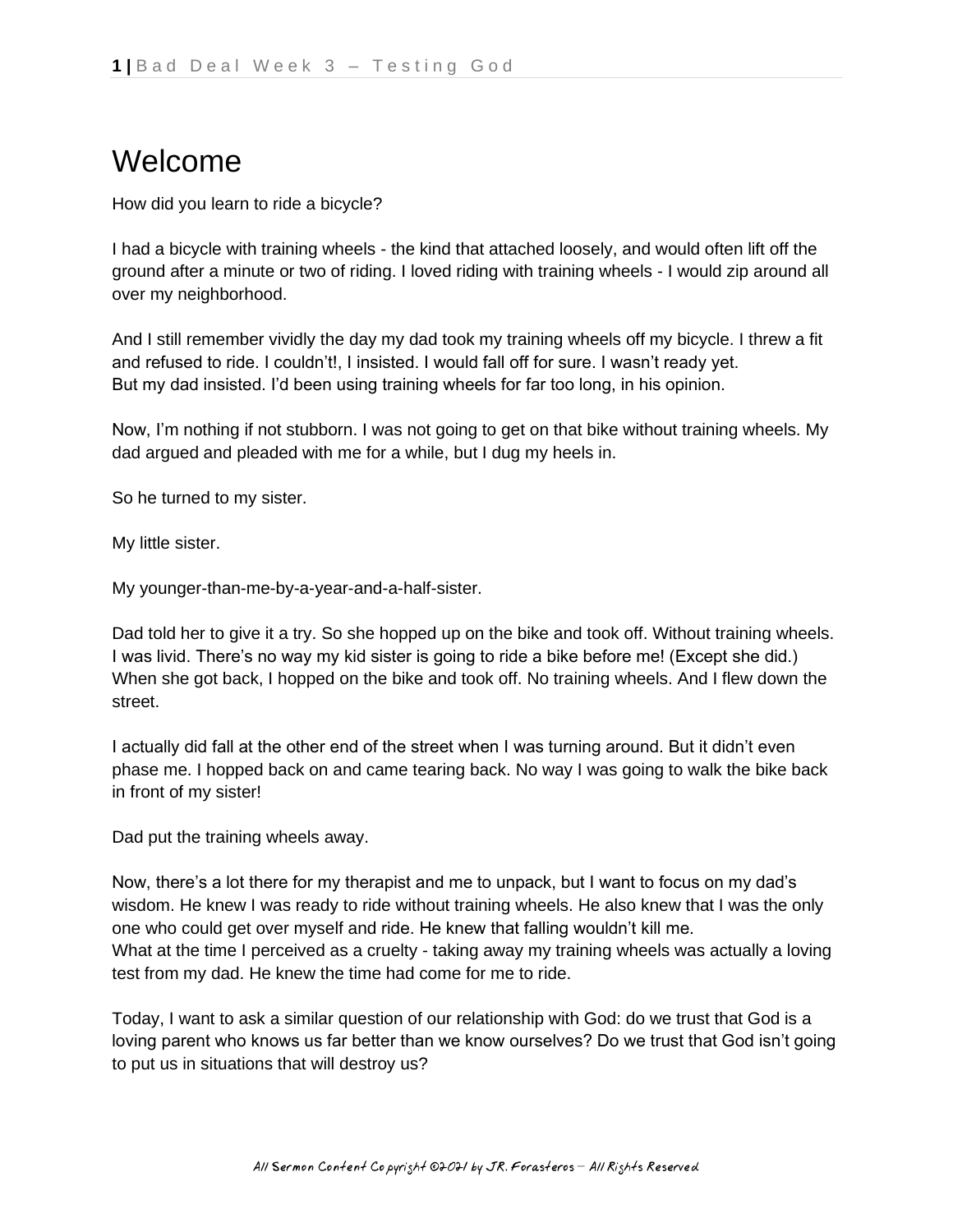## Welcome

How did you learn to ride a bicycle?

I had a bicycle with training wheels - the kind that attached loosely, and would often lift off the ground after a minute or two of riding. I loved riding with training wheels - I would zip around all over my neighborhood.

And I still remember vividly the day my dad took my training wheels off my bicycle. I threw a fit and refused to ride. I couldn't!, I insisted. I would fall off for sure. I wasn't ready yet. But my dad insisted. I'd been using training wheels for far too long, in his opinion.

Now, I'm nothing if not stubborn. I was not going to get on that bike without training wheels. My dad argued and pleaded with me for a while, but I dug my heels in.

So he turned to my sister.

My little sister.

My younger-than-me-by-a-year-and-a-half-sister.

Dad told her to give it a try. So she hopped up on the bike and took off. Without training wheels. I was livid. There's no way my kid sister is going to ride a bike before me! (Except she did.) When she got back, I hopped on the bike and took off. No training wheels. And I flew down the street.

I actually did fall at the other end of the street when I was turning around. But it didn't even phase me. I hopped back on and came tearing back. No way I was going to walk the bike back in front of my sister!

Dad put the training wheels away.

Now, there's a lot there for my therapist and me to unpack, but I want to focus on my dad's wisdom. He knew I was ready to ride without training wheels. He also knew that I was the only one who could get over myself and ride. He knew that falling wouldn't kill me. What at the time I perceived as a cruelty - taking away my training wheels was actually a loving test from my dad. He knew the time had come for me to ride.

Today, I want to ask a similar question of our relationship with God: do we trust that God is a loving parent who knows us far better than we know ourselves? Do we trust that God isn't going to put us in situations that will destroy us?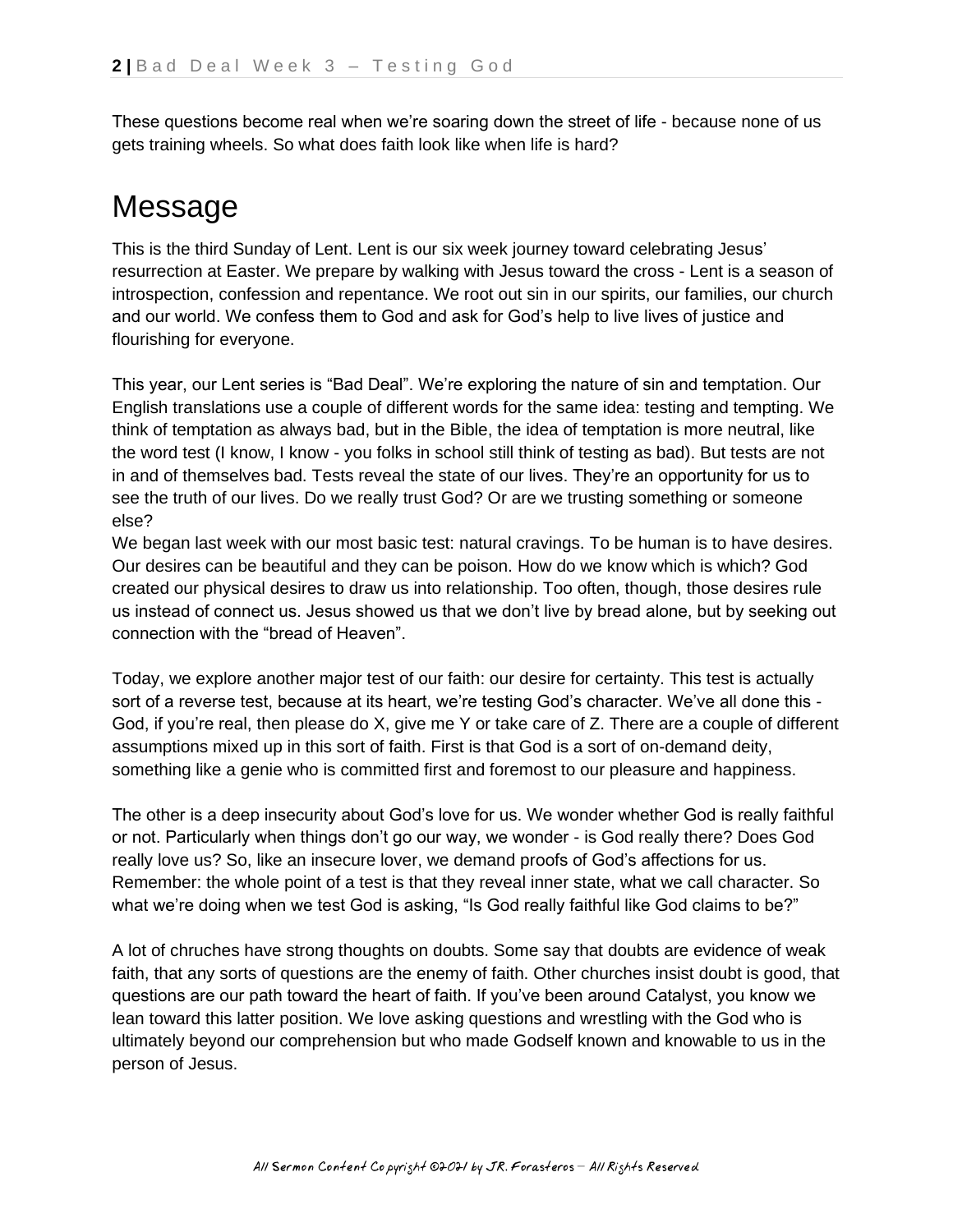These questions become real when we're soaring down the street of life - because none of us gets training wheels. So what does faith look like when life is hard?

## Message

This is the third Sunday of Lent. Lent is our six week journey toward celebrating Jesus' resurrection at Easter. We prepare by walking with Jesus toward the cross - Lent is a season of introspection, confession and repentance. We root out sin in our spirits, our families, our church and our world. We confess them to God and ask for God's help to live lives of justice and flourishing for everyone.

This year, our Lent series is "Bad Deal". We're exploring the nature of sin and temptation. Our English translations use a couple of different words for the same idea: testing and tempting. We think of temptation as always bad, but in the Bible, the idea of temptation is more neutral, like the word test (I know, I know - you folks in school still think of testing as bad). But tests are not in and of themselves bad. Tests reveal the state of our lives. They're an opportunity for us to see the truth of our lives. Do we really trust God? Or are we trusting something or someone else?

We began last week with our most basic test: natural cravings. To be human is to have desires. Our desires can be beautiful and they can be poison. How do we know which is which? God created our physical desires to draw us into relationship. Too often, though, those desires rule us instead of connect us. Jesus showed us that we don't live by bread alone, but by seeking out connection with the "bread of Heaven".

Today, we explore another major test of our faith: our desire for certainty. This test is actually sort of a reverse test, because at its heart, we're testing God's character. We've all done this -God, if you're real, then please do X, give me Y or take care of Z. There are a couple of different assumptions mixed up in this sort of faith. First is that God is a sort of on-demand deity, something like a genie who is committed first and foremost to our pleasure and happiness.

The other is a deep insecurity about God's love for us. We wonder whether God is really faithful or not. Particularly when things don't go our way, we wonder - is God really there? Does God really love us? So, like an insecure lover, we demand proofs of God's affections for us. Remember: the whole point of a test is that they reveal inner state, what we call character. So what we're doing when we test God is asking, "Is God really faithful like God claims to be?"

A lot of chruches have strong thoughts on doubts. Some say that doubts are evidence of weak faith, that any sorts of questions are the enemy of faith. Other churches insist doubt is good, that questions are our path toward the heart of faith. If you've been around Catalyst, you know we lean toward this latter position. We love asking questions and wrestling with the God who is ultimately beyond our comprehension but who made Godself known and knowable to us in the person of Jesus.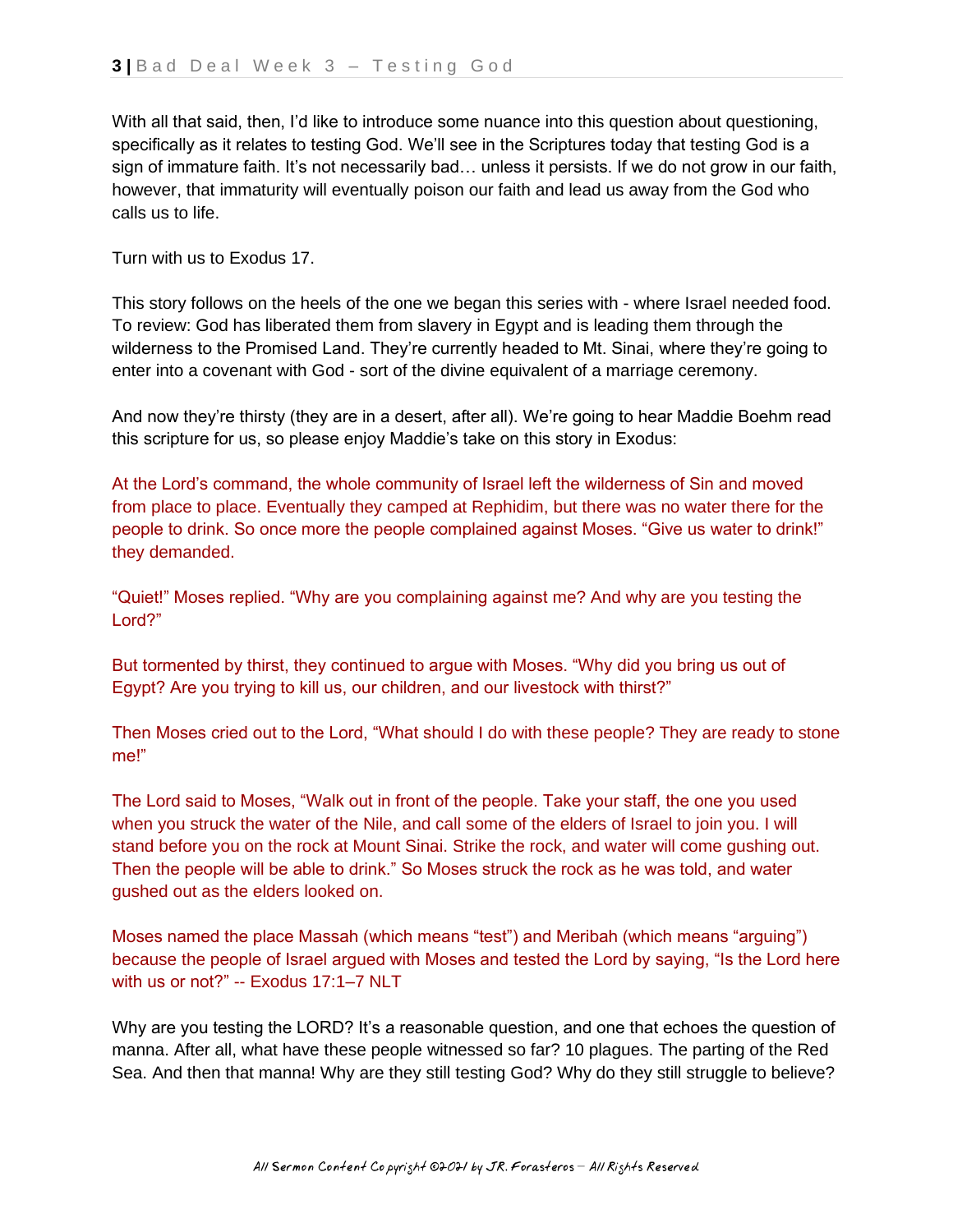With all that said, then, I'd like to introduce some nuance into this question about questioning, specifically as it relates to testing God. We'll see in the Scriptures today that testing God is a sign of immature faith. It's not necessarily bad… unless it persists. If we do not grow in our faith, however, that immaturity will eventually poison our faith and lead us away from the God who calls us to life.

Turn with us to Exodus 17.

This story follows on the heels of the one we began this series with - where Israel needed food. To review: God has liberated them from slavery in Egypt and is leading them through the wilderness to the Promised Land. They're currently headed to Mt. Sinai, where they're going to enter into a covenant with God - sort of the divine equivalent of a marriage ceremony.

And now they're thirsty (they are in a desert, after all). We're going to hear Maddie Boehm read this scripture for us, so please enjoy Maddie's take on this story in Exodus:

At the Lord's command, the whole community of Israel left the wilderness of Sin and moved from place to place. Eventually they camped at Rephidim, but there was no water there for the people to drink. So once more the people complained against Moses. "Give us water to drink!" they demanded.

"Quiet!" Moses replied. "Why are you complaining against me? And why are you testing the Lord?"

But tormented by thirst, they continued to argue with Moses. "Why did you bring us out of Egypt? Are you trying to kill us, our children, and our livestock with thirst?"

Then Moses cried out to the Lord, "What should I do with these people? They are ready to stone me!"

The Lord said to Moses, "Walk out in front of the people. Take your staff, the one you used when you struck the water of the Nile, and call some of the elders of Israel to join you. I will stand before you on the rock at Mount Sinai. Strike the rock, and water will come gushing out. Then the people will be able to drink." So Moses struck the rock as he was told, and water gushed out as the elders looked on.

Moses named the place Massah (which means "test") and Meribah (which means "arguing") because the people of Israel argued with Moses and tested the Lord by saying, "Is the Lord here with us or not?" -- Exodus 17:1–7 NLT

Why are you testing the LORD? It's a reasonable question, and one that echoes the question of manna. After all, what have these people witnessed so far? 10 plagues. The parting of the Red Sea. And then that manna! Why are they still testing God? Why do they still struggle to believe?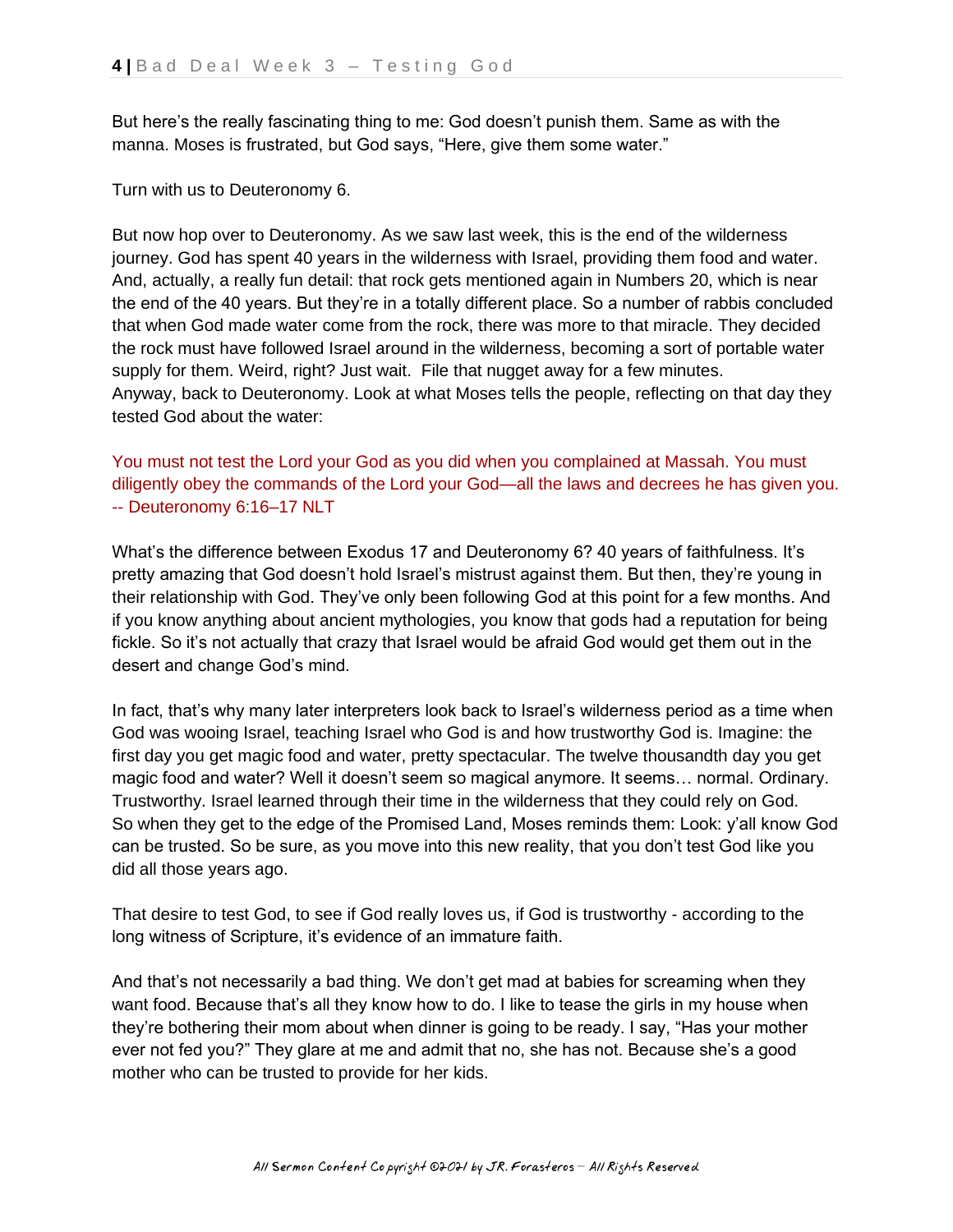But here's the really fascinating thing to me: God doesn't punish them. Same as with the manna. Moses is frustrated, but God says, "Here, give them some water."

Turn with us to Deuteronomy 6.

But now hop over to Deuteronomy. As we saw last week, this is the end of the wilderness journey. God has spent 40 years in the wilderness with Israel, providing them food and water. And, actually, a really fun detail: that rock gets mentioned again in Numbers 20, which is near the end of the 40 years. But they're in a totally different place. So a number of rabbis concluded that when God made water come from the rock, there was more to that miracle. They decided the rock must have followed Israel around in the wilderness, becoming a sort of portable water supply for them. Weird, right? Just wait. File that nugget away for a few minutes. Anyway, back to Deuteronomy. Look at what Moses tells the people, reflecting on that day they tested God about the water:

You must not test the Lord your God as you did when you complained at Massah. You must diligently obey the commands of the Lord your God—all the laws and decrees he has given you. -- Deuteronomy 6:16–17 NLT

What's the difference between Exodus 17 and Deuteronomy 6? 40 years of faithfulness. It's pretty amazing that God doesn't hold Israel's mistrust against them. But then, they're young in their relationship with God. They've only been following God at this point for a few months. And if you know anything about ancient mythologies, you know that gods had a reputation for being fickle. So it's not actually that crazy that Israel would be afraid God would get them out in the desert and change God's mind.

In fact, that's why many later interpreters look back to Israel's wilderness period as a time when God was wooing Israel, teaching Israel who God is and how trustworthy God is. Imagine: the first day you get magic food and water, pretty spectacular. The twelve thousandth day you get magic food and water? Well it doesn't seem so magical anymore. It seems… normal. Ordinary. Trustworthy. Israel learned through their time in the wilderness that they could rely on God. So when they get to the edge of the Promised Land, Moses reminds them: Look: y'all know God can be trusted. So be sure, as you move into this new reality, that you don't test God like you did all those years ago.

That desire to test God, to see if God really loves us, if God is trustworthy - according to the long witness of Scripture, it's evidence of an immature faith.

And that's not necessarily a bad thing. We don't get mad at babies for screaming when they want food. Because that's all they know how to do. I like to tease the girls in my house when they're bothering their mom about when dinner is going to be ready. I say, "Has your mother ever not fed you?" They glare at me and admit that no, she has not. Because she's a good mother who can be trusted to provide for her kids.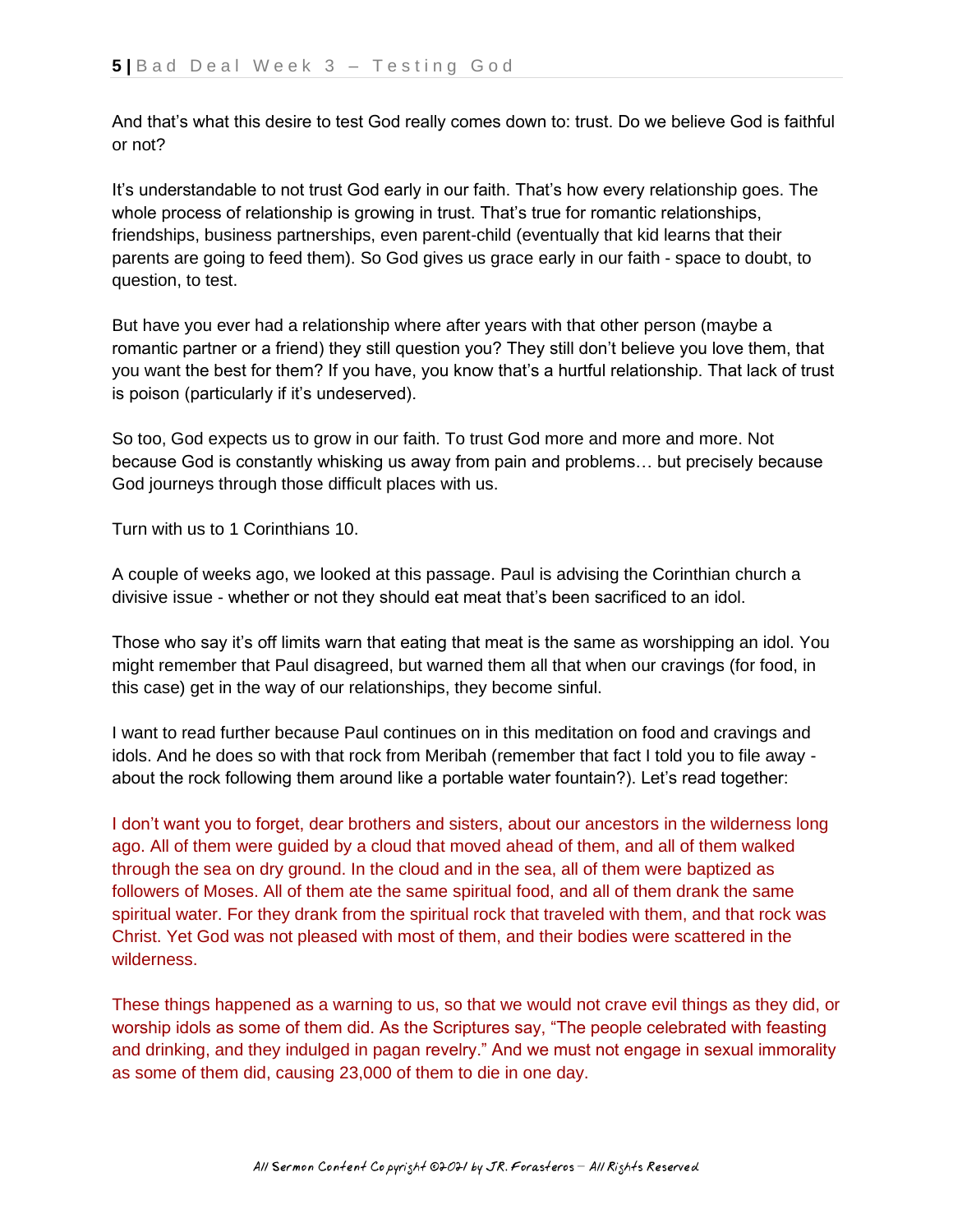And that's what this desire to test God really comes down to: trust. Do we believe God is faithful or not?

It's understandable to not trust God early in our faith. That's how every relationship goes. The whole process of relationship is growing in trust. That's true for romantic relationships, friendships, business partnerships, even parent-child (eventually that kid learns that their parents are going to feed them). So God gives us grace early in our faith - space to doubt, to question, to test.

But have you ever had a relationship where after years with that other person (maybe a romantic partner or a friend) they still question you? They still don't believe you love them, that you want the best for them? If you have, you know that's a hurtful relationship. That lack of trust is poison (particularly if it's undeserved).

So too, God expects us to grow in our faith. To trust God more and more and more. Not because God is constantly whisking us away from pain and problems… but precisely because God journeys through those difficult places with us.

Turn with us to 1 Corinthians 10.

A couple of weeks ago, we looked at this passage. Paul is advising the Corinthian church a divisive issue - whether or not they should eat meat that's been sacrificed to an idol.

Those who say it's off limits warn that eating that meat is the same as worshipping an idol. You might remember that Paul disagreed, but warned them all that when our cravings (for food, in this case) get in the way of our relationships, they become sinful.

I want to read further because Paul continues on in this meditation on food and cravings and idols. And he does so with that rock from Meribah (remember that fact I told you to file away about the rock following them around like a portable water fountain?). Let's read together:

I don't want you to forget, dear brothers and sisters, about our ancestors in the wilderness long ago. All of them were guided by a cloud that moved ahead of them, and all of them walked through the sea on dry ground. In the cloud and in the sea, all of them were baptized as followers of Moses. All of them ate the same spiritual food, and all of them drank the same spiritual water. For they drank from the spiritual rock that traveled with them, and that rock was Christ. Yet God was not pleased with most of them, and their bodies were scattered in the wilderness.

These things happened as a warning to us, so that we would not crave evil things as they did, or worship idols as some of them did. As the Scriptures say, "The people celebrated with feasting and drinking, and they indulged in pagan revelry." And we must not engage in sexual immorality as some of them did, causing 23,000 of them to die in one day.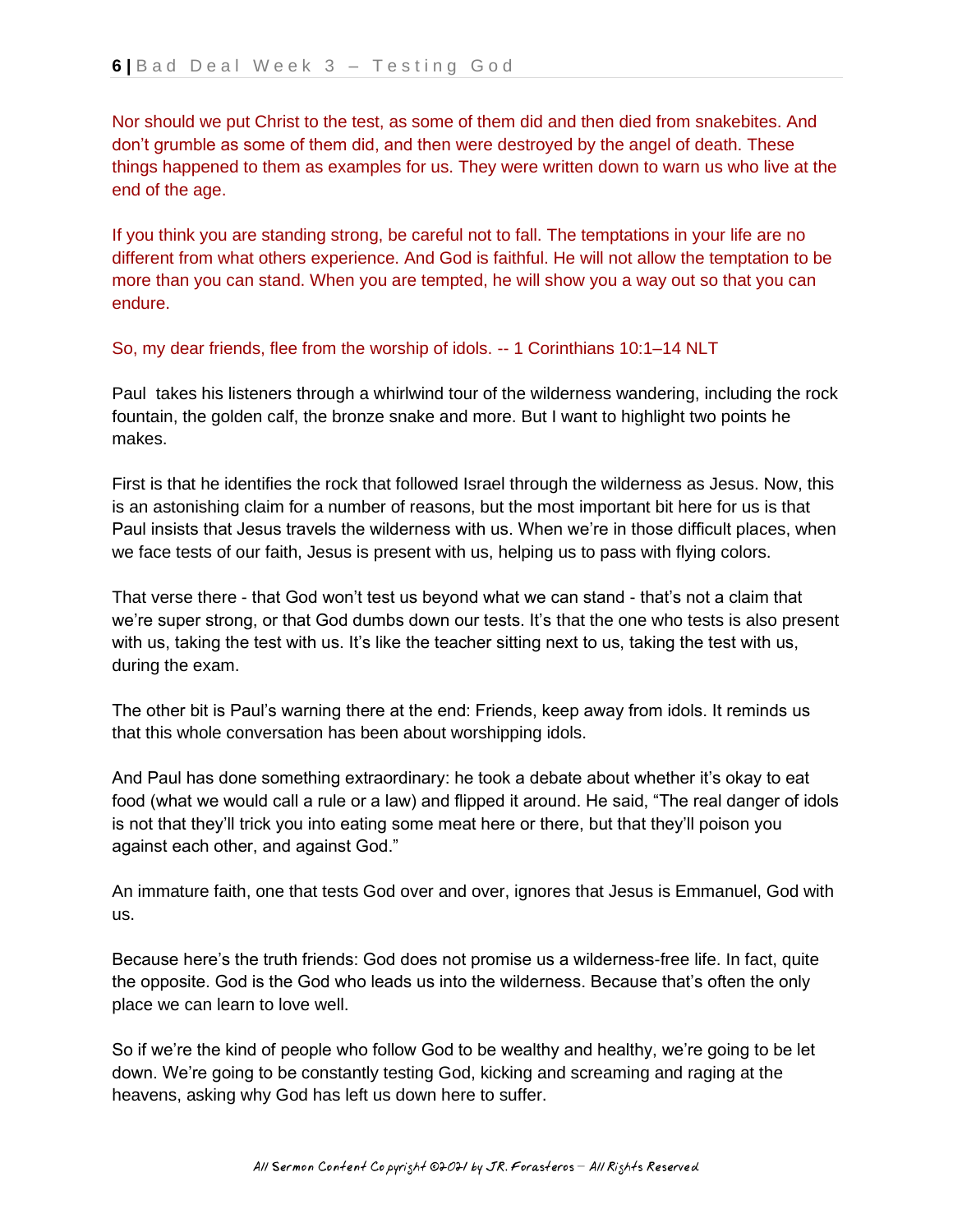Nor should we put Christ to the test, as some of them did and then died from snakebites. And don't grumble as some of them did, and then were destroyed by the angel of death. These things happened to them as examples for us. They were written down to warn us who live at the end of the age.

If you think you are standing strong, be careful not to fall. The temptations in your life are no different from what others experience. And God is faithful. He will not allow the temptation to be more than you can stand. When you are tempted, he will show you a way out so that you can endure.

So, my dear friends, flee from the worship of idols. -- 1 Corinthians 10:1–14 NLT

Paul takes his listeners through a whirlwind tour of the wilderness wandering, including the rock fountain, the golden calf, the bronze snake and more. But I want to highlight two points he makes.

First is that he identifies the rock that followed Israel through the wilderness as Jesus. Now, this is an astonishing claim for a number of reasons, but the most important bit here for us is that Paul insists that Jesus travels the wilderness with us. When we're in those difficult places, when we face tests of our faith, Jesus is present with us, helping us to pass with flying colors.

That verse there - that God won't test us beyond what we can stand - that's not a claim that we're super strong, or that God dumbs down our tests. It's that the one who tests is also present with us, taking the test with us. It's like the teacher sitting next to us, taking the test with us, during the exam.

The other bit is Paul's warning there at the end: Friends, keep away from idols. It reminds us that this whole conversation has been about worshipping idols.

And Paul has done something extraordinary: he took a debate about whether it's okay to eat food (what we would call a rule or a law) and flipped it around. He said, "The real danger of idols is not that they'll trick you into eating some meat here or there, but that they'll poison you against each other, and against God."

An immature faith, one that tests God over and over, ignores that Jesus is Emmanuel, God with us.

Because here's the truth friends: God does not promise us a wilderness-free life. In fact, quite the opposite. God is the God who leads us into the wilderness. Because that's often the only place we can learn to love well.

So if we're the kind of people who follow God to be wealthy and healthy, we're going to be let down. We're going to be constantly testing God, kicking and screaming and raging at the heavens, asking why God has left us down here to suffer.